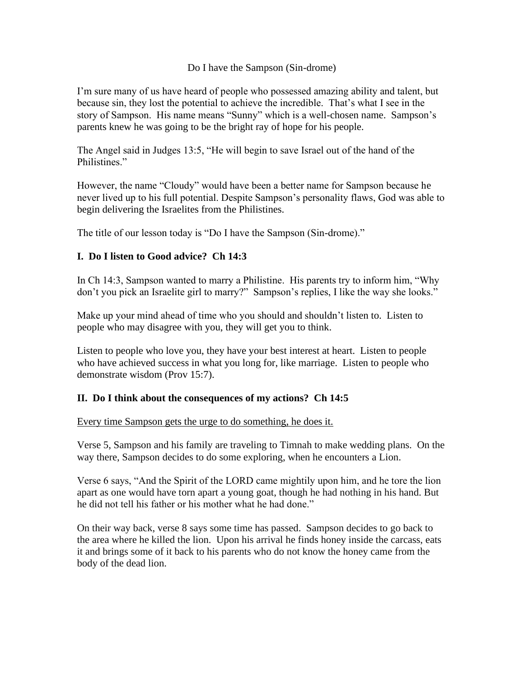Do I have the Sampson (Sin-drome)

I'm sure many of us have heard of people who possessed amazing ability and talent, but because sin, they lost the potential to achieve the incredible. That's what I see in the story of Sampson. His name means "Sunny" which is a well-chosen name. Sampson's parents knew he was going to be the bright ray of hope for his people.

The Angel said in Judges 13:5, "He will begin to save Israel out of the hand of the Philistines."

However, the name "Cloudy" would have been a better name for Sampson because he never lived up to his full potential. Despite Sampson's personality flaws, God was able to begin delivering the Israelites from the Philistines.

The title of our lesson today is "Do I have the Sampson (Sin-drome)."

# **I. Do I listen to Good advice? Ch 14:3**

In Ch 14:3, Sampson wanted to marry a Philistine. His parents try to inform him, "Why don't you pick an Israelite girl to marry?" Sampson's replies, I like the way she looks."

Make up your mind ahead of time who you should and shouldn't listen to. Listen to people who may disagree with you, they will get you to think.

Listen to people who love you, they have your best interest at heart. Listen to people who have achieved success in what you long for, like marriage. Listen to people who demonstrate wisdom (Prov 15:7).

# **II. Do I think about the consequences of my actions? Ch 14:5**

Every time Sampson gets the urge to do something, he does it.

Verse 5, Sampson and his family are traveling to Timnah to make wedding plans. On the way there, Sampson decides to do some exploring, when he encounters a Lion.

Verse 6 says, "And the Spirit of the LORD came mightily upon him, and he tore the lion apart as one would have torn apart a young goat, though he had nothing in his hand. But he did not tell his father or his mother what he had done."

On their way back, verse 8 says some time has passed. Sampson decides to go back to the area where he killed the lion. Upon his arrival he finds honey inside the carcass, eats it and brings some of it back to his parents who do not know the honey came from the body of the dead lion.